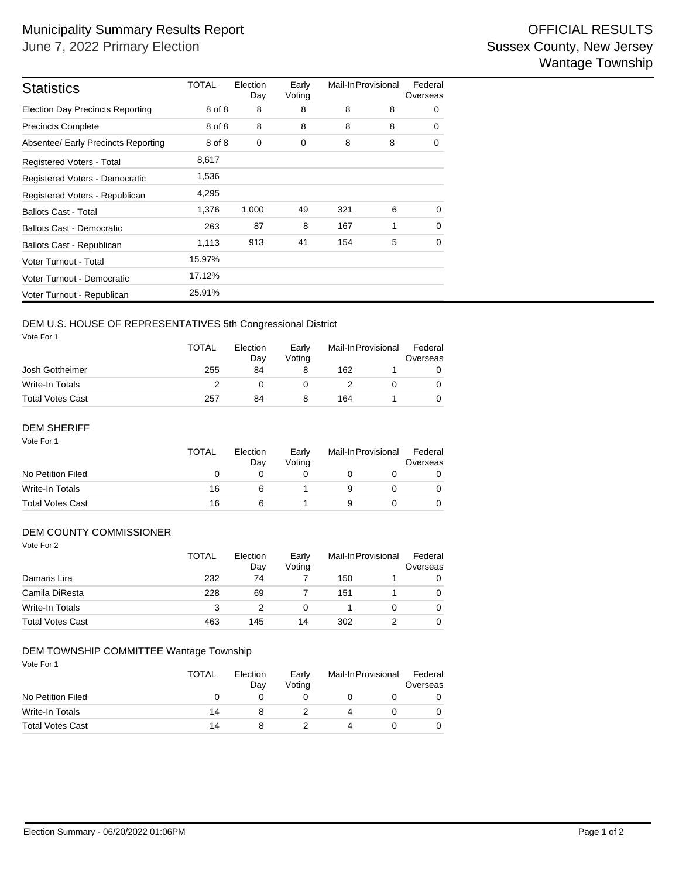| <b>Statistics</b>                       | TOTAL  | Election<br>Day | Early<br>Voting | Mail-In Provisional |   | Federal<br>Overseas |  |
|-----------------------------------------|--------|-----------------|-----------------|---------------------|---|---------------------|--|
| <b>Election Day Precincts Reporting</b> | 8 of 8 | 8               | 8               | 8                   | 8 | 0                   |  |
| <b>Precincts Complete</b>               | 8 of 8 | 8               | 8               | 8                   | 8 | $\Omega$            |  |
| Absentee/ Early Precincts Reporting     | 8 of 8 | 0               | 0               | 8                   | 8 | 0                   |  |
| <b>Registered Voters - Total</b>        | 8,617  |                 |                 |                     |   |                     |  |
| Registered Voters - Democratic          | 1,536  |                 |                 |                     |   |                     |  |
| Registered Voters - Republican          | 4,295  |                 |                 |                     |   |                     |  |
| <b>Ballots Cast - Total</b>             | 1,376  | 1,000           | 49              | 321                 | 6 | $\Omega$            |  |
| <b>Ballots Cast - Democratic</b>        | 263    | 87              | 8               | 167                 | 1 | $\Omega$            |  |
| Ballots Cast - Republican               | 1,113  | 913             | 41              | 154                 | 5 | 0                   |  |
| Voter Turnout - Total                   | 15.97% |                 |                 |                     |   |                     |  |
| Voter Turnout - Democratic              | 17.12% |                 |                 |                     |   |                     |  |
| Voter Turnout - Republican              | 25.91% |                 |                 |                     |   |                     |  |

## DEM U.S. HOUSE OF REPRESENTATIVES 5th Congressional District

Vote For 1

|                         | <b>TOTAL</b> | Election<br>Dav | Early<br>Votina | Mail-In Provisional |  | Federal<br>Overseas |  |
|-------------------------|--------------|-----------------|-----------------|---------------------|--|---------------------|--|
| Josh Gottheimer         | 255          | 84              |                 | 162                 |  |                     |  |
| Write-In Totals         |              |                 |                 |                     |  |                     |  |
| <b>Total Votes Cast</b> | 257          | 84              |                 | 164                 |  |                     |  |

#### Vote For 1 DEM SHERIFF

|                         | <b>TOTAL</b> | Election<br>Dav | Early<br>Votina | Mail-In Provisional |  | Federal<br>Overseas |  |
|-------------------------|--------------|-----------------|-----------------|---------------------|--|---------------------|--|
| No Petition Filed       |              |                 |                 |                     |  |                     |  |
| Write-In Totals         | 16           |                 |                 |                     |  |                     |  |
| <b>Total Votes Cast</b> | 16           |                 |                 |                     |  |                     |  |

### DEM COUNTY COMMISSIONER

| Vote For 2              | <b>TOTAL</b> | Election<br>Day | Early<br>Voting | Mail-In Provisional |   | Federal<br>Overseas |
|-------------------------|--------------|-----------------|-----------------|---------------------|---|---------------------|
| Damaris Lira            | 232          | 74              |                 | 150                 |   | 0                   |
| Camila DiResta          | 228          | 69              |                 | 151                 |   | 0                   |
| <b>Write-In Totals</b>  | 3            |                 | 0               |                     | o | 0                   |
| <b>Total Votes Cast</b> | 463          | 145             | 14              | 302                 |   | 0                   |

#### DEM TOWNSHIP COMMITTEE Wantage Township

Vote For 1

|                         | <b>TOTAL</b><br>Election<br>Dav |  | Early<br>Votina | Mail-In Provisional |  | Federal<br>Overseas |  |
|-------------------------|---------------------------------|--|-----------------|---------------------|--|---------------------|--|
| No Petition Filed       |                                 |  |                 |                     |  |                     |  |
| Write-In Totals         | 14                              |  |                 |                     |  |                     |  |
| <b>Total Votes Cast</b> | 14                              |  |                 |                     |  |                     |  |